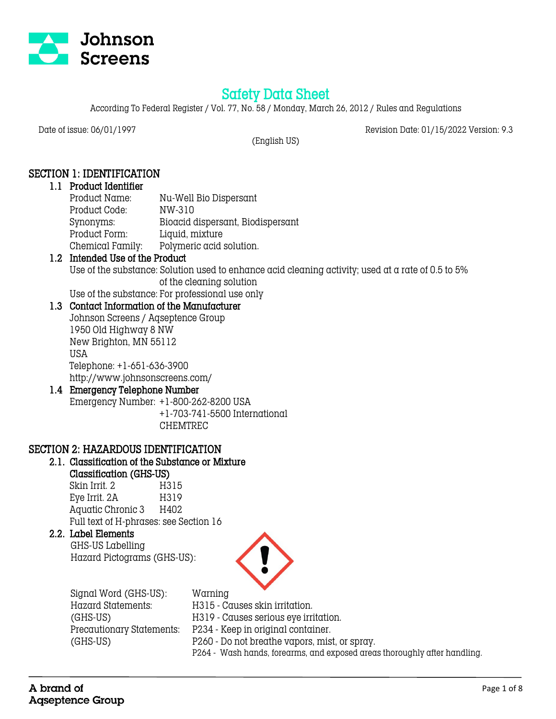

# Safety Data Sheet

According To Federal Register / Vol. 77, No. 58 / Monday, March 26, 2012 / Rules and Regulations

Date of issue: 06/01/1997 Revision Date: 01/15/2022 Version: 9.3

(English US)

# SECTION 1: IDENTIFICATION

### 1.1 Product Identifier

Product Name: Nu-Well Bio Dispersant Product Code: NW-310 Synonyms: Bioacid dispersant, Biodispersant Product Form: Liquid, mixture Chemical Family: Polymeric acid solution.

# 1.2 Intended Use of the Product

Use of the substance: Solution used to enhance acid cleaning activity; used at a rate of 0.5 to 5% of the cleaning solution

Use of the substance: For professional use only

## 1.3 Contact Information of the Manufacturer

Johnson Screens / Aqseptence Group 1950 Old Highway 8 NW New Brighton, MN 55112 USA Telephone: +1-651-636-3900 http://www.johnsonscreens.com/

# 1.4 Emergency Telephone Number

Emergency Number: +1-800-262-8200 USA +1-703-741-5500 International CHEMTREC

### SECTION 2: HAZARDOUS IDENTIFICATION

### 2.1. Classification of the Substance or Mixture

Classification (GHS-US) Skin Irrit. 2 H315

Eye Irrit. 2A H319 Aquatic Chronic 3 H402 Full text of H-phrases: see Section 16

### 2.2. Label Elements

 GHS-US Labelling Hazard Pictograms (GHS-US):



| Signal Word (GHS-US):     | Warning                                                                   |
|---------------------------|---------------------------------------------------------------------------|
| Hazard Statements:        | H315 - Causes skin irritation.                                            |
| (GHS-US)                  | H319 - Causes serious eye irritation.                                     |
| Precautionary Statements: | P234 - Keep in original container.                                        |
| (GHS-US)                  | P260 - Do not breathe vapors, mist, or spray.                             |
|                           | P264 - Wash hands, forearms, and exposed areas thoroughly after handling. |
|                           |                                                                           |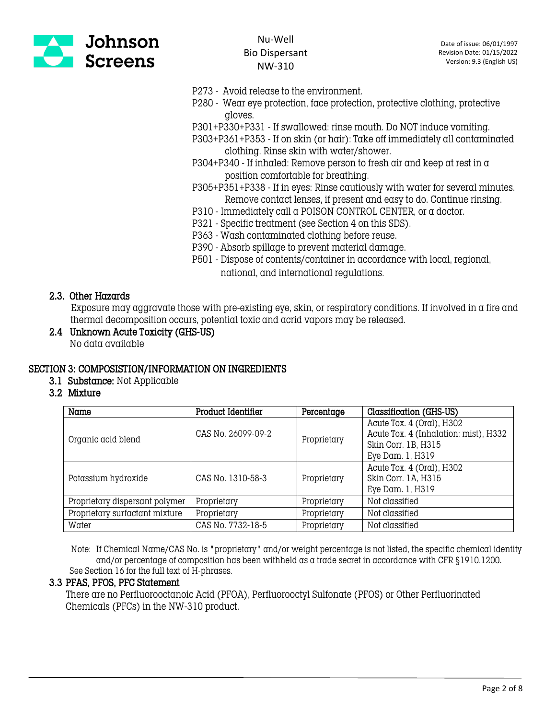

- P273 Avoid release to the environment.
- P280 Wear eye protection, face protection, protective clothing, protective gloves.
- P301+P330+P331 If swallowed: rinse mouth. Do NOT induce vomiting.
- P303+P361+P353 If on skin (or hair): Take off immediately all contaminated clothing. Rinse skin with water/shower.
- P304+P340 If inhaled: Remove person to fresh air and keep at rest in  $\alpha$ position comfortable for breathing.
- P305+P351+P338 If in eyes: Rinse cautiously with water for several minutes. Remove contact lenses, if present and easy to do. Continue rinsing.
- P310 Immediately call a POISON CONTROL CENTER, or a doctor.
- P321 Specific treatment (see Section 4 on this SDS).
- P363 Wash contaminated clothing before reuse.
- P390 Absorb spillage to prevent material damage.
- P501 Dispose of contents/container in accordance with local, regional, national, and international regulations.

#### 2.3. Other Hazards

 Exposure may aggravate those with pre-existing eye, skin, or respiratory conditions. If involved in a fire and thermal decomposition occurs, potential toxic and acrid vapors may be released.

2.4 Unknown Acute Toxicity (GHS-US) No data available

#### SECTION 3: COMPOSISTION/INFORMATION ON INGREDIENTS

- 3.1 Substance: Not Applicable
- 3.2 Mixture

| Name                           | Product Identifier | Percentage  | Classification (GHS-US)               |
|--------------------------------|--------------------|-------------|---------------------------------------|
| Organic acid blend             | CAS No. 26099-09-2 | Proprietary | Acute Tox. 4 (Oral), H302             |
|                                |                    |             | Acute Tox. 4 (Inhalation: mist), H332 |
|                                |                    |             | Skin Corr. 1B, H315                   |
|                                |                    |             | Eye Dam. 1, H319                      |
| Potassium hydroxide            | CAS No. 1310-58-3  | Proprietary | Acute Tox. 4 (Oral), H302             |
|                                |                    |             | Skin Corr. 1A, H315                   |
|                                |                    |             | Eye Dam. 1, H319                      |
| Proprietary dispersant polymer | Proprietary        | Proprietary | Not classified                        |
| Proprietary surfactant mixture | Proprietary        | Proprietary | Not classified                        |
| Water                          | CAS No. 7732-18-5  | Proprietary | Not classified                        |

 Note: If Chemical Name/CAS No. is "proprietary" and/or weight percentage is not listed, the specific chemical identity and/or percentage of composition has been withheld as a trade secret in accordance with CFR §1910.1200. See Section 16 for the full text of H-phrases.

#### 3.3 PFAS, PFOS, PFC Statement

 There are no Perfluorooctanoic Acid (PFOA), Perfluorooctyl Sulfonate (PFOS) or Other Perfluorinated Chemicals (PFCs) in the NW-310 product.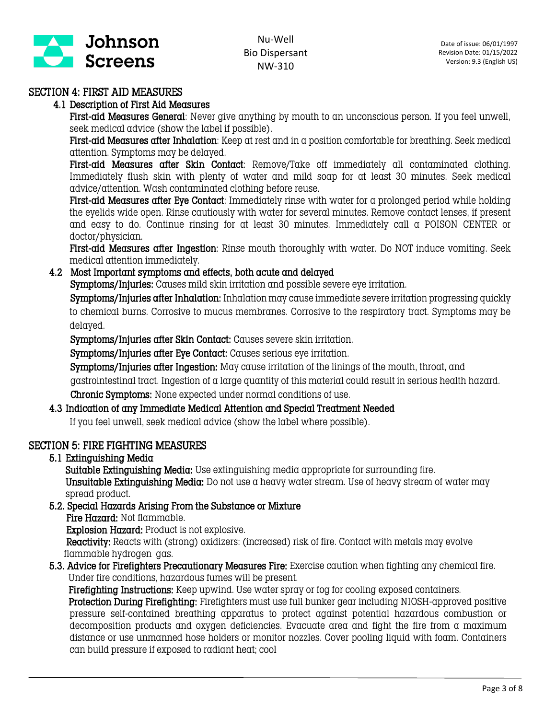

## SECTION 4: FIRST AID MEASURES

#### 4.1 Description of First Aid Measures

First-aid Measures General: Never give anything by mouth to an unconscious person. If you feel unwell, seek medical advice (show the label if possible).

First-aid Measures after Inhalation: Keep at rest and in a position comfortable for breathing. Seek medical attention. Symptoms may be delayed.

First-aid Measures after Skin Contact: Remove/Take off immediately all contaminated clothing. Immediately flush skin with plenty of water and mild soap for at least 30 minutes. Seek medical advice/attention. Wash contaminated clothing before reuse.

First-aid Measures after Eye Contact: Immediately rinse with water for a prolonged period while holding the eyelids wide open. Rinse cautiously with water for several minutes. Remove contact lenses, if present and easy to do. Continue rinsing for at least 30 minutes. Immediately call a POISON CENTER or doctor/physician.

First-aid Measures after Ingestion: Rinse mouth thoroughly with water. Do NOT induce vomiting. Seek medical attention immediately.

#### 4.2 Most Important symptoms and effects, both acute and delayed

Symptoms/Injuries: Causes mild skin irritation and possible severe eye irritation.

 Symptoms/Injuries after Inhalation: Inhalation may cause immediate severe irritation progressing quickly to chemical burns. Corrosive to mucus membranes. Corrosive to the respiratory tract. Symptoms may be delayed.

Symptoms/Injuries after Skin Contact: Causes severe skin irritation.

Symptoms/Injuries after Eye Contact: Causes serious eye irritation.

Symptoms/Injuries after Ingestion: May cause irritation of the linings of the mouth, throat, and gastrointestinal tract. Ingestion of a large quantity of this material could result in serious health hazard. Chronic Symptoms: None expected under normal conditions of use.

#### 4.3 Indication of any Immediate Medical Attention and Special Treatment Needed

If you feel unwell, seek medical advice (show the label where possible).

### SECTION 5: FIRE FIGHTING MEASURES

5.1 Extinguishing Media

Suitable Extinguishing Media: Use extinguishing media appropriate for surrounding fire. Unsuitable Extinguishing Media: Do not use a heavy water stream. Use of heavy stream of water may spread product.

- 5.2. Special Hazards Arising From the Substance or Mixture
	- Fire Hazard: Not flammable.

Explosion Hazard: Product is not explosive.

 Reactivity: Reacts with (strong) oxidizers: (increased) risk of fire. Contact with metals may evolve flammable hydrogen gas.

5.3. Advice for Firefighters Precautionary Measures Fire: Exercise caution when fighting any chemical fire. Under fire conditions, hazardous fumes will be present.

 Firefighting Instructions: Keep upwind. Use water spray or fog for cooling exposed containers. Protection During Firefighting: Firefighters must use full bunker gear including NIOSH-approved positive pressure self-contained breathing apparatus to protect against potential hazardous combustion or decomposition products and oxygen deficiencies. Evacuate area and fight the fire from a maximum distance or use unmanned hose holders or monitor nozzles. Cover pooling liquid with foam. Containers can build pressure if exposed to radiant heat; cool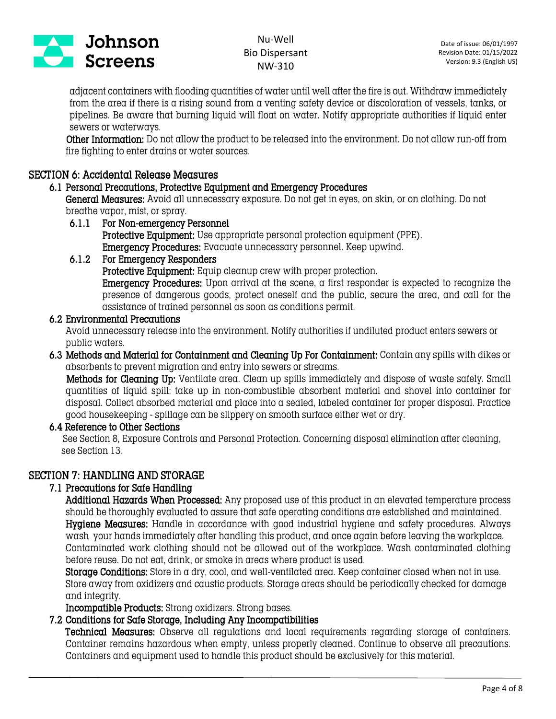

adjacent containers with flooding quantities of water until well after the fire is out. Withdraw immediately from the area if there is a rising sound from a venting safety device or discoloration of vessels, tanks, or pipelines. Be aware that burning liquid will float on water. Notify appropriate authorities if liquid enter sewers or waterways.

 Other Information: Do not allow the product to be released into the environment. Do not allow run-off from fire fighting to enter drains or water sources.

### SECTION 6: Accidental Release Measures

#### 6.1 Personal Precautions, Protective Equipment and Emergency Procedures

General Measures: Avoid all unnecessary exposure. Do not get in eyes, on skin, or on clothing. Do not breathe vapor, mist, or spray.

6.1.1 For Non-emergency Personnel Protective Equipment: Use appropriate personal protection equipment (PPE). Emergency Procedures: Evacuate unnecessary personnel. Keep upwind.

#### 6.1.2 For Emergency Responders

Protective Equipment: Equip cleanup crew with proper protection.

Emergency Procedures: Upon arrival at the scene, a first responder is expected to recognize the presence of dangerous goods, protect oneself and the public, secure the area, and call for the assistance of trained personnel as soon as conditions permit.

#### 6.2 Environmental Precautions

Avoid unnecessary release into the environment. Notify authorities if undiluted product enters sewers or public waters.

6.3 Methods and Material for Containment and Cleaning Up For Containment: Contain any spills with dikes or absorbents to prevent migration and entry into sewers or streams.

 Methods for Cleaning Up: Ventilate area. Clean up spills immediately and dispose of waste safely. Small quantities of liquid spill: take up in non-combustible absorbent material and shovel into container for disposal. Collect absorbed material and place into a sealed, labeled container for proper disposal. Practice good housekeeping - spillage can be slippery on smooth surface either wet or dry.

#### 6.4 Reference to Other Sections

See Section 8, Exposure Controls and Personal Protection. Concerning disposal elimination after cleaning, see Section 13.

### SECTION 7: HANDLING AND STORAGE

### 7.1 Precautions for Safe Handling

Additional Hazards When Processed: Any proposed use of this product in an elevated temperature process should be thoroughly evaluated to assure that safe operating conditions are established and maintained. Hygiene Measures: Handle in accordance with good industrial hygiene and safety procedures. Always wash your hands immediately after handling this product, and once again before leaving the workplace. Contaminated work clothing should not be allowed out of the workplace. Wash contaminated clothing before reuse. Do not eat, drink, or smoke in areas where product is used.

Storage Conditions: Store in a dry, cool, and well-ventilated area. Keep container closed when not in use. Store away from oxidizers and caustic products. Storage areas should be periodically checked for damage and integrity.

Incompatible Products: Strong oxidizers. Strong bases.

### 7.2 Conditions for Safe Storage, Including Any Incompatibilities

Technical Measures: Observe all regulations and local requirements regarding storage of containers. Container remains hazardous when empty, unless properly cleaned. Continue to observe all precautions. Containers and equipment used to handle this product should be exclusively for this material.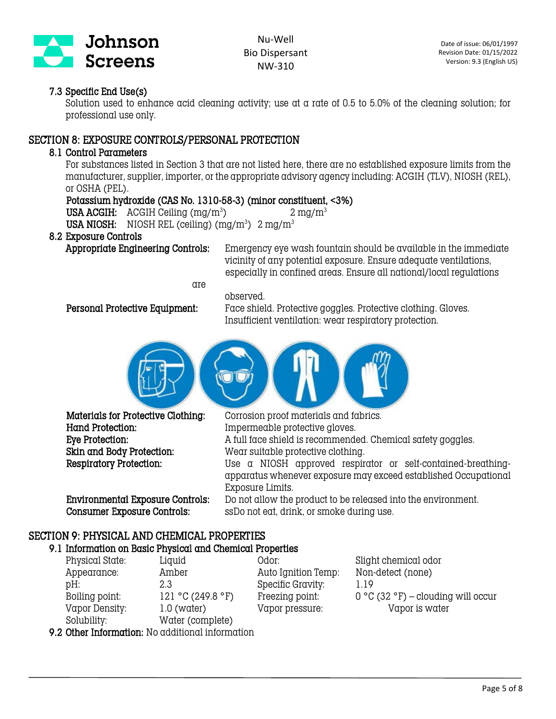

### 7.3 Specific End Use(s)

Solution used to enhance acid cleaning activity; use at a rate of 0.5 to 5.0% of the cleaning solution; for professional use only.

### SECTION 8: EXPOSURE CONTROLS/PERSONAL PROTECTION

#### 8.1 Control Parameters

For substances listed in Section 3 that are not listed here, there are no established exposure limits from the manufacturer, supplier, importer, or the appropriate advisory agency including: ACGIH (TLV), NIOSH (REL), or OSHA (PEL).

### Potassium hydroxide (CAS No. 1310-58-3) (minor constituent, <3%)

USA ACGIH:  $\text{ACGIH}$  Ceiling (mg/m<sup>3</sup>)

 $2 \text{ ma/m}^3$ 

#### **USA NIOSH:** NIOSH REL (ceiling)  $(mg/m^3)$  2 mg/m<sup>3</sup> 8.2 Exposure Controls

Appropriate Engineering Controls: Emergency eye wash fountain should be available in the immediate vicinity of any potential exposure. Ensure adequate ventilations, especially in confined areas. Ensure all national/local regulations

are

 Personal Protective Equipment: Face shield. Protective goggles. Protective clothing. Gloves. Insufficient ventilation: wear respiratory protection.



observed.

 Hand Protection: Impermeable protective gloves. Skin and Body Protection: Wear suitable protective clothing.

Consumer Exposure Controls: ssDo not eat, drink, or smoke during use.

 Materials for Protective Clothing: Corrosion proof materials and fabrics. Eye Protection: A full face shield is recommended. Chemical safety goggles. Respiratory Protection: Use a NIOSH approved respirator or self-contained-breathingapparatus whenever exposure may exceed established Occupational Exposure Limits. Environmental Exposure Controls: Do not allow the product to be released into the environment.

# SECTION 9: PHYSICAL AND CHEMICAL PROPERTIES

# 9.1 Information on Basic Physical and Chemical Properties

Appearance: Amber Auto Ignition Temp: Non-detect (none) pH: 2.3 Specific Gravity: 1.19 Vapor Density: 1.0 (water) Vapor pressure: Vapor is water Solubility: Water (complete)

Physical State: Liquid Odor: Slight chemical odor Boiling point: 121 °C (249.8 °F) Freezing point: 0 °C (32 °F) – clouding will occur

9.2 Other Information: No additional information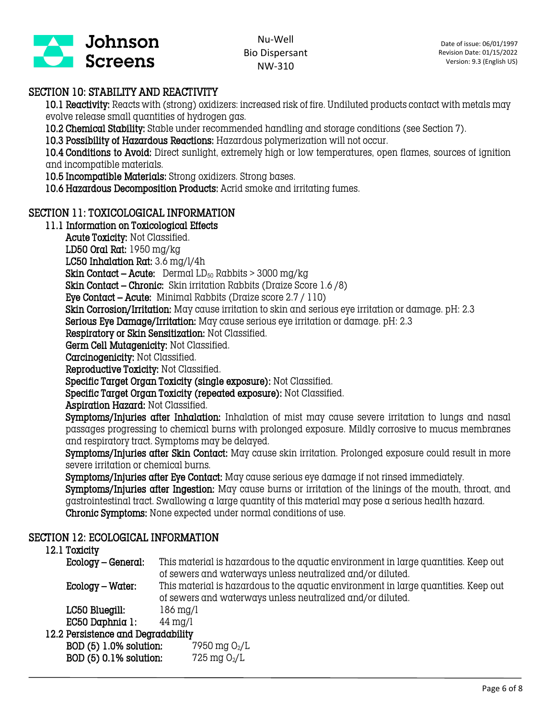

# SECTION 10: STABILITY AND REACTIVITY

10.1 Reactivity: Reacts with (strong) oxidizers: increased risk of fire. Undiluted products contact with metals may evolve release small quantities of hydrogen gas.

10.2 Chemical Stability: Stable under recommended handling and storage conditions (see Section 7).

10.3 Possibility of Hazardous Reactions: Hazardous polymerization will not occur.

10.4 Conditions to Avoid: Direct sunlight, extremely high or low temperatures, open flames, sources of ignition and incompatible materials.

10.5 Incompatible Materials: Strong oxidizers. Strong bases.

10.6 Hazardous Decomposition Products: Acrid smoke and irritating fumes.

# SECTION 11: TOXICOLOGICAL INFORMATION

## 11.1 Information on Toxicological Effects

Acute Toxicity: Not Classified.

LD50 Oral Rat: 1950 mg/kg

LC50 Inhalation Rat: 3.6 mg/l/4h

**Skin Contact – Acute:** Dermal  $LD_{50}$  Rabbits > 3000 mg/kg

Skin Contact – Chronic: Skin irritation Rabbits (Draize Score 1.6 /8)

Eye Contact – Acute: Minimal Rabbits (Draize score 2.7 / 110)

Skin Corrosion/Irritation: May cause irritation to skin and serious eye irritation or damage. pH: 2.3

Serious Eye Damage/Irritation: May cause serious eye irritation or damage. pH: 2.3

Respiratory or Skin Sensitization: Not Classified.

Germ Cell Mutagenicity: Not Classified.

Carcinogenicity: Not Classified.

Reproductive Toxicity: Not Classified.

Specific Target Organ Toxicity (single exposure): Not Classified.

Specific Target Organ Toxicity (repeated exposure): Not Classified.

Aspiration Hazard: Not Classified.

Symptoms/Injuries after Inhalation: Inhalation of mist may cause severe irritation to lungs and nasal passages progressing to chemical burns with prolonged exposure. Mildly corrosive to mucus membranes and respiratory tract. Symptoms may be delayed.

Symptoms/Injuries after Skin Contact: May cause skin irritation. Prolonged exposure could result in more severe irritation or chemical burns.

Symptoms/Injuries after Eye Contact: May cause serious eye damage if not rinsed immediately.

Symptoms/Injuries after Ingestion: May cause burns or irritation of the linings of the mouth, throat, and gastrointestinal tract. Swallowing a large quantity of this material may pose a serious health hazard. Chronic Symptoms: None expected under normal conditions of use.

### SECTION 12: ECOLOGICAL INFORMATION

### 12.1 Toxicity

| -------                                          |                                                                                                                                                   |  |  |  |
|--------------------------------------------------|---------------------------------------------------------------------------------------------------------------------------------------------------|--|--|--|
| Ecology – General:                               | This material is hazardous to the aquatic environment in large quantities. Keep out<br>of sewers and waterways unless neutralized and/or diluted. |  |  |  |
| Ecology – Water:                                 | This material is hazardous to the aquatic environment in large quantities. Keep out<br>of sewers and waterways unless neutralized and/or diluted. |  |  |  |
| LC50 Bluegill:                                   | $186 \,\mathrm{mg/l}$                                                                                                                             |  |  |  |
| EC50 Daphnia 1                                   | $44 \text{ mg/l}$                                                                                                                                 |  |  |  |
| The send ask a send and The control what Hills a |                                                                                                                                                   |  |  |  |

#### 12.2 Persistence and Degradability

**BOD (5) 1.0% solution:** 7950 mg  $O_2/L$ **BOD (5) 0.1% solution:** 725 mg  $O_2/L$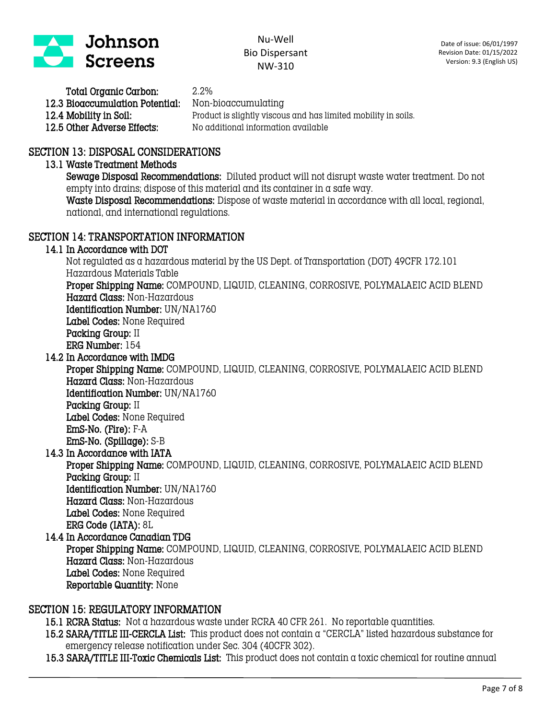

 Total Organic Carbon: 2.2% 12.3 Bioaccumulation Potential: Non-bioaccumulating

12.4 Mobility in Soil: Product is slightly viscous and has limited mobility in soils.<br>12.5 Other Adverse Effects: No additional information available 12.5 Other Adverse Effects: No additional information available

### SECTION 13: DISPOSAL CONSIDERATIONS

#### 13.1 Waste Treatment Methods

Sewage Disposal Recommendations: Diluted product will not disrupt waste water treatment. Do not empty into drains; dispose of this material and its container in a safe way.

Waste Disposal Recommendations: Dispose of waste material in accordance with all local, regional, national, and international regulations.

## SECTION 14: TRANSPORTATION INFORMATION

#### 14.1 In Accordance with DOT

 Not regulated as a hazardous material by the US Dept. of Transportation (DOT) 49CFR 172.101 Hazardous Materials Table Proper Shipping Name: COMPOUND, LIQUID, CLEANING, CORROSIVE, POLYMALAEIC ACID BLEND

Hazard Class: Non-Hazardous

Identification Number: UN/NA1760

Label Codes: None Required

Packing Group: II

ERG Number: 154

14.2 In Accordance with IMDG

 Proper Shipping Name: COMPOUND, LIQUID, CLEANING, CORROSIVE, POLYMALAEIC ACID BLEND Hazard Class: Non-Hazardous Identification Number: UN/NA1760

 Packing Group: II Label Codes: None Required EmS-No. (Fire): F-A EmS-No. (Spillage): S-B

14.3 In Accordance with IATA

 Proper Shipping Name: COMPOUND, LIQUID, CLEANING, CORROSIVE, POLYMALAEIC ACID BLEND Packing Group: II Identification Number: UN/NA1760 Hazard Class: Non-Hazardous

Label Codes: None Required

ERG Code (IATA): 8L

14.4 In Accordance Canadian TDG Proper Shipping Name: COMPOUND, LIQUID, CLEANING, CORROSIVE, POLYMALAEIC ACID BLEND Hazard Class: Non-Hazardous Label Codes: None Required Reportable Quantity: None

#### SECTION 15: REGULATORY INFORMATION

15.1 RCRA Status: Not a hazardous waste under RCRA 40 CFR 261. No reportable quantities.

15.2 SARA/TITLE III-CERCLA List: This product does not contain a "CERCLA" listed hazardous substance for emergency release notification under Sec. 304 (40CFR 302).

15.3 SARA/TITLE III-Toxic Chemicals List: This product does not contain a toxic chemical for routine annual